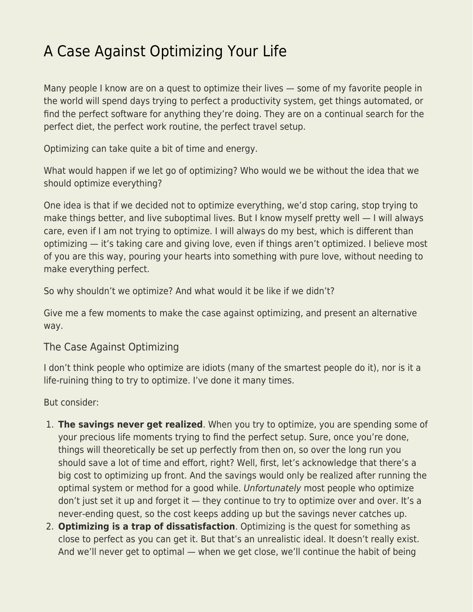## [A Case Against Optimizing Your Life](https://everything-voluntary.com/a-case-against-optimizing-your-life)

Many people I know are on a quest to optimize their lives — some of my favorite people in the world will spend days trying to perfect a productivity system, get things automated, or find the perfect software for anything they're doing. They are on a continual search for the perfect diet, the perfect work routine, the perfect travel setup.

Optimizing can take quite a bit of time and energy.

What would happen if we let go of optimizing? Who would we be without the idea that we should optimize everything?

One idea is that if we decided not to optimize everything, we'd stop caring, stop trying to make things better, and live suboptimal lives. But I know myself pretty well — I will always care, even if I am not trying to optimize. I will always do my best, which is different than optimizing — it's taking care and giving love, even if things aren't optimized. I believe most of you are this way, pouring your hearts into something with pure love, without needing to make everything perfect.

So why shouldn't we optimize? And what would it be like if we didn't?

Give me a few moments to make the case against optimizing, and present an alternative way.

## The Case Against Optimizing

I don't think people who optimize are idiots (many of the smartest people do it), nor is it a life-ruining thing to try to optimize. I've done it many times.

But consider:

- 1. **The savings never get realized**. When you try to optimize, you are spending some of your precious life moments trying to find the perfect setup. Sure, once you're done, things will theoretically be set up perfectly from then on, so over the long run you should save a lot of time and effort, right? Well, first, let's acknowledge that there's a big cost to optimizing up front. And the savings would only be realized after running the optimal system or method for a good while. Unfortunately most people who optimize don't just set it up and forget it — they continue to try to optimize over and over. It's a never-ending quest, so the cost keeps adding up but the savings never catches up.
- 2. **Optimizing is a trap of dissatisfaction**. Optimizing is the quest for something as close to perfect as you can get it. But that's an unrealistic ideal. It doesn't really exist. And we'll never get to optimal — when we get close, we'll continue the habit of being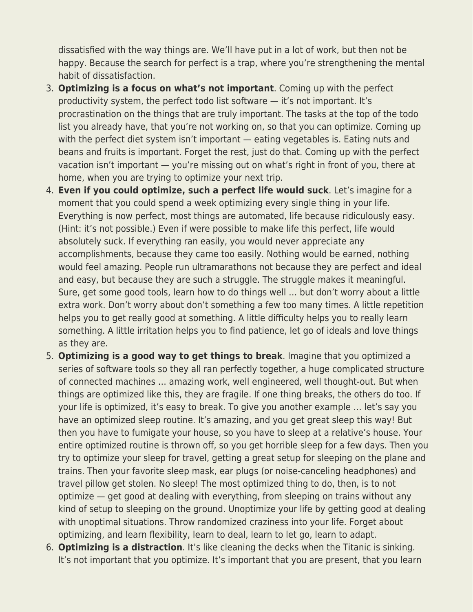dissatisfied with the way things are. We'll have put in a lot of work, but then not be happy. Because the search for perfect is a trap, where you're strengthening the mental habit of dissatisfaction.

- 3. **Optimizing is a focus on what's not important**. Coming up with the perfect productivity system, the perfect todo list software — it's not important. It's procrastination on the things that are truly important. The tasks at the top of the todo list you already have, that you're not working on, so that you can optimize. Coming up with the perfect diet system isn't important — eating vegetables is. Eating nuts and beans and fruits is important. Forget the rest, just do that. Coming up with the perfect vacation isn't important — you're missing out on what's right in front of you, there at home, when you are trying to optimize your next trip.
- 4. **Even if you could optimize, such a perfect life would suck**. Let's imagine for a moment that you could spend a week optimizing every single thing in your life. Everything is now perfect, most things are automated, life because ridiculously easy. (Hint: it's not possible.) Even if were possible to make life this perfect, life would absolutely suck. If everything ran easily, you would never appreciate any accomplishments, because they came too easily. Nothing would be earned, nothing would feel amazing. People run ultramarathons not because they are perfect and ideal and easy, but because they are such a struggle. The struggle makes it meaningful. Sure, get some good tools, learn how to do things well … but don't worry about a little extra work. Don't worry about don't something a few too many times. A little repetition helps you to get really good at something. A little difficulty helps you to really learn something. A little irritation helps you to find patience, let go of ideals and love things as they are.
- 5. **Optimizing is a good way to get things to break**. Imagine that you optimized a series of software tools so they all ran perfectly together, a huge complicated structure of connected machines … amazing work, well engineered, well thought-out. But when things are optimized like this, they are fragile. If one thing breaks, the others do too. If your life is optimized, it's easy to break. To give you another example … let's say you have an optimized sleep routine. It's amazing, and you get great sleep this way! But then you have to fumigate your house, so you have to sleep at a relative's house. Your entire optimized routine is thrown off, so you get horrible sleep for a few days. Then you try to optimize your sleep for travel, getting a great setup for sleeping on the plane and trains. Then your favorite sleep mask, ear plugs (or noise-canceling headphones) and travel pillow get stolen. No sleep! The most optimized thing to do, then, is to not optimize — get good at dealing with everything, from sleeping on trains without any kind of setup to sleeping on the ground. Unoptimize your life by getting good at dealing with unoptimal situations. Throw randomized craziness into your life. Forget about optimizing, and learn flexibility, learn to deal, learn to let go, learn to adapt.
- 6. **Optimizing is a distraction**. It's like cleaning the decks when the Titanic is sinking. It's not important that you optimize. It's important that you are present, that you learn